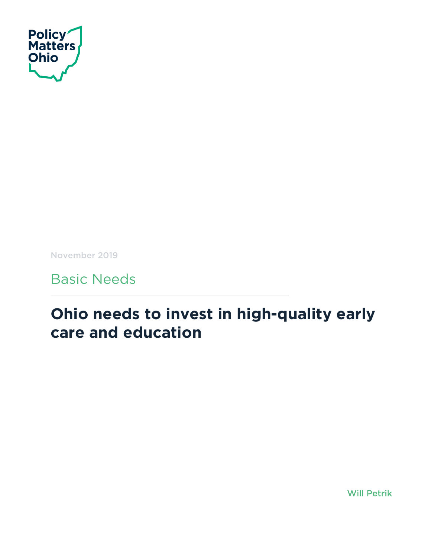

November 2019

Basic Needs

# **Ohio needs to invest in high-quality early care and education**

Will Petrik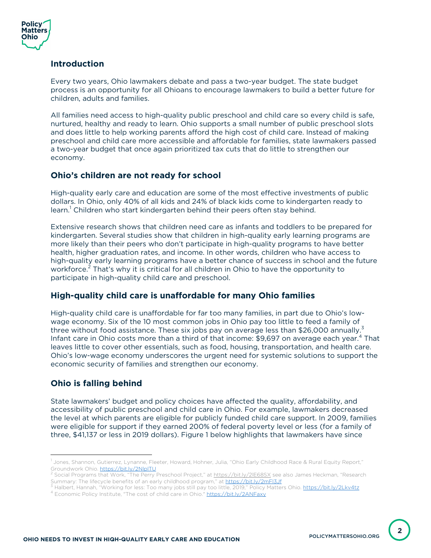

#### **Introduction**

Every two years, Ohio lawmakers debate and pass a two-year budget. The state budget process is an opportunity for all Ohioans to encourage lawmakers to build a better future for children, adults and families.

All families need access to high-quality public preschool and child care so every child is safe, nurtured, healthy and ready to learn. Ohio supports a small number of public preschool slots and does little to help working parents afford the high cost of child care. Instead of making preschool and child care more accessible and affordable for families, state lawmakers passed a two-year budget that once again prioritized tax cuts that do little to strengthen our economy.

#### **Ohio's children are not ready for school**

High-quality early care and education are some of the most effective investments of public dollars. In Ohio, only 40% of all kids and 24% of black kids come to kindergarten ready to learn.<sup>1</sup> Children who start kindergarten behind their peers often stay behind.

Extensive research shows that children need care as infants and toddlers to be prepared for kindergarten. Several studies show that children in high-quality early learning programs are more likely than their peers who don't participate in high-quality programs to have better health, higher graduation rates, and income. In other words, children who have access to high-quality early learning programs have a better chance of success in school and the future workforce.<sup>2</sup> That's why it is critical for all children in Ohio to have the opportunity to participate in high-quality child care and preschool.

## **High-quality child care is unaffordable for many Ohio families**

High-quality child care is unaffordable for far too many families, in part due to Ohio's lowwage economy. Six of the 10 most common jobs in Ohio pay too little to feed a family of three without food assistance. These six jobs pay on average less than \$26,000 annually.<sup>3</sup> Infant care in Ohio costs more than a third of that income: \$9.697 on average each year.<sup>4</sup> That leaves little to cover other essentials, such as food, housing, transportation, and health care. Ohio's low-wage economy underscores the urgent need for systemic solutions to support the economic security of families and strengthen our economy.

## **Ohio is falling behind**

State lawmakers' budget and policy choices have affected the quality, affordability, and accessibility of public preschool and child care in Ohio. For example, lawmakers decreased the level at which parents are eligible for publicly funded child care support. In 2009, families were eligible for support if they earned 200% of federal poverty level or less (for a family of three, \$41,137 or less in 2019 dollars). Figure 1 below highlights that lawmakers have since

**2**

<sup>&</sup>lt;sup>1</sup> Jones, Shannon, Gutierrez, Lynanne, Fleeter, Howard, Hohner, Julia, "Ohio Early Childhood Race & Rural Equity Report," Groundwork Ohio. https://bit.ly/2NlplTU<br><sup>2</sup> Social Programs that Work, "The Perry Preschool Project," at https://bit.ly/2lE68SX see also James Heckman, "Research

Summary: The lifecycle benefits of an early childhood program," at <u>https://bit.ly/2mFl3Jf</u><br><sup>3</sup> Halbert, Hannah, "Working for less: Too many jobs still pay too little, 2019," Policy Matters Ohio. <u>https://bit.ly/2Lkv4tz</u><br><sup></sup>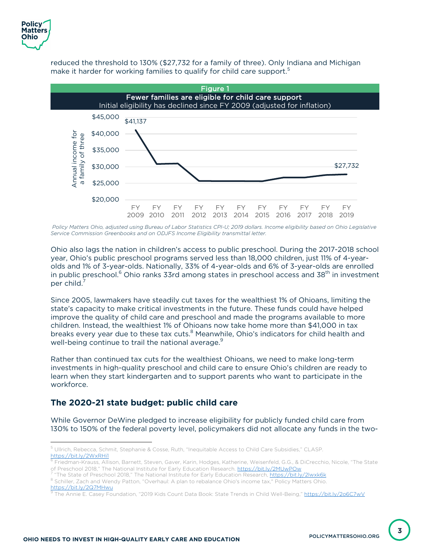

reduced the threshold to 130% (\$27,732 for a family of three). Only Indiana and Michigan make it harder for working families to qualify for child care support.<sup>5</sup>



Policy Matters Ohio, adjusted using Bureau of Labor Statistics CPI-U; 2019 dollars. Income eligibility based on Ohio Legislative *Service Commission Greenbooks and on ODJFS Income Eligibility transmittal letter.*

Ohio also lags the nation in children's access to public preschool. During the 2017-2018 school year, Ohio's public preschool programs served less than 18,000 children, just 11% of 4-yearolds and 1% of 3-year-olds. Nationally, 33% of 4-year-olds and 6% of 3-year-olds are enrolled in public preschool.<sup>6</sup> Ohio ranks 33rd among states in preschool access and 38<sup>th</sup> in investment per child.<sup>7</sup>

Since 2005, lawmakers have steadily cut taxes for the wealthiest 1% of Ohioans, limiting the state's capacity to make critical investments in the future. These funds could have helped improve the quality of child care and preschool and made the programs available to more children. Instead, the wealthiest 1% of Ohioans now take home more than \$41,000 in tax breaks every year due to these tax cuts.<sup>8</sup> Meanwhile, Ohio's indicators for child health and well-being continue to trail the national average.<sup>9</sup>

Rather than continued tax cuts for the wealthiest Ohioans, we need to make long-term investments in high-quality preschool and child care to ensure Ohio's children are ready to learn when they start kindergarten and to support parents who want to participate in the workforce.

# **The 2020-21 state budget: public child care**

While Governor DeWine pledged to increase eligibility for publicly funded child care from 130% to 150% of the federal poverty level, policymakers did not allocate any funds in the two-

<sup>5</sup> Ullrich, Rebecca, Schmit, Stephanie & Cosse, Ruth, "Inequitable Access to Child Care Subsidies," CLASP. https://bit.ly/2WxRHi1

<sup>6</sup> Friedman-Krauss, Allison, Barnett, Steven, Gaver, Karin, Hodges, Katherine, Weisenfeld, G.G., & DiCrecchio, Nicole, "The State

of Preschool 2018," The National Institute for Early Education Research. <u>https://bit.ly/2MUwPOw</u><br><sup>7</sup> "The State of Preschool 2018," The National Institute for Early Education Research, <u>https://bit.ly/2lwxk6k</u><br><sup>8</sup> Schille https://bit.ly/2Q7MHwu

The Annie E. Casey Foundation, "2019 Kids Count Data Book: State Trends in Child Well-Being," https://bit.ly/2o6C7wV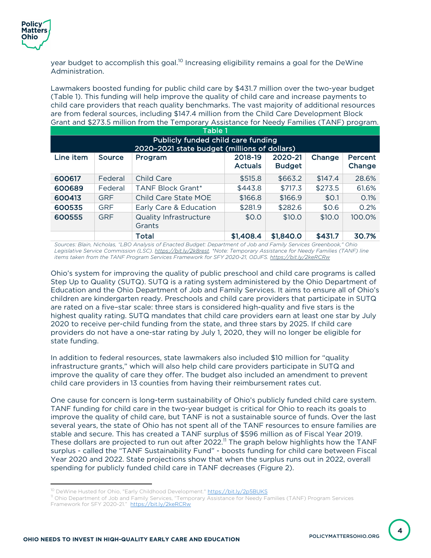

year budget to accomplish this goal.<sup>10</sup> Increasing eligibility remains a goal for the DeWine Administration.

Lawmakers boosted funding for public child care by \$431.7 million over the two-year budget (Table 1). This funding will help improve the quality of child care and increase payments to child care providers that reach quality benchmarks. The vast majority of additional resources are from federal sources, including \$147.4 million from the Child Care Development Block Grant and \$273.5 million from the Temporary Assistance for Needy Families (TANF) program.

| Table 1                                                                            |            |                                         |                           |                          |         |                   |  |  |  |  |  |
|------------------------------------------------------------------------------------|------------|-----------------------------------------|---------------------------|--------------------------|---------|-------------------|--|--|--|--|--|
| Publicly funded child care funding<br>2020-2021 state budget (millions of dollars) |            |                                         |                           |                          |         |                   |  |  |  |  |  |
| Line item                                                                          | Source     | Program                                 | 2018-19<br><b>Actuals</b> | 2020-21<br><b>Budget</b> | Change  | Percent<br>Change |  |  |  |  |  |
| 600617                                                                             | Federal    | Child Care                              | \$515.8                   | \$663.2                  | \$147.4 | 28.6%             |  |  |  |  |  |
| 600689                                                                             | Federal    | <b>TANF Block Grant*</b>                | \$443.8                   | \$717.3                  | \$273.5 | 61.6%             |  |  |  |  |  |
| 600413                                                                             | <b>GRF</b> | Child Care State MOE                    | \$166.8                   | \$166.9                  | \$0.1   | 0.1%              |  |  |  |  |  |
| 600535                                                                             | <b>GRF</b> | Early Care & Education                  | \$281.9                   | \$282.6                  | \$0.6   | 0.2%              |  |  |  |  |  |
| 600555                                                                             | <b>GRF</b> | <b>Quality Infrastructure</b><br>Grants | \$0.0                     | \$10.0                   | \$10.0  | 100.0%            |  |  |  |  |  |
|                                                                                    |            | Total                                   | \$1,408.4                 | \$1,840.0                | \$431.7 | 30.7%             |  |  |  |  |  |

*Sources: Blain, Nicholas, "LBO Analysis of Enacted Budget: Department of Job and Family Services Greenbook," Ohio Legislative Service Commission (LSC). https://bit.ly/2k8rest. \*Note: Temporary Assistance for Needy Families (TANF) line items taken from the TANF Program Services Framework for SFY 2020-21, ODJFS. https://bit.ly/2keRCRw*

Ohio's system for improving the quality of public preschool and child care programs is called Step Up to Quality (SUTQ). SUTQ is a rating system administered by the Ohio Department of Education and the Ohio Department of Job and Family Services. It aims to ensure all of Ohio's children are kindergarten ready. Preschools and child care providers that participate in SUTQ are rated on a five–star scale: three stars is considered high-quality and five stars is the highest quality rating. SUTQ mandates that child care providers earn at least one star by July 2020 to receive per-child funding from the state, and three stars by 2025. If child care providers do not have a one-star rating by July 1, 2020, they will no longer be eligible for state funding.

In addition to federal resources, state lawmakers also included \$10 million for "quality infrastructure grants," which will also help child care providers participate in SUTQ and improve the quality of care they offer. The budget also included an amendment to prevent child care providers in 13 counties from having their reimbursement rates cut.

One cause for concern is long-term sustainability of Ohio's publicly funded child care system. TANF funding for child care in the two-year budget is critical for Ohio to reach its goals to improve the quality of child care, but TANF is not a sustainable source of funds. Over the last several years, the state of Ohio has not spent all of the TANF resources to ensure families are stable and secure. This has created a TANF surplus of \$596 million as of Fiscal Year 2019. These dollars are projected to run out after 2022.<sup>11</sup> The graph below highlights how the TANF surplus - called the "TANF Sustainability Fund" - boosts funding for child care between Fiscal Year 2020 and 2022. State projections show that when the surplus runs out in 2022, overall spending for publicly funded child care in TANF decreases (Figure 2).

<sup>&</sup>lt;sup>10</sup> DeWine Husted for Ohio, "Early Childhood Development." https://bit.ly/2p5BUKS

<sup>11</sup> Ohio Department of Job and Family Services, "Temporary Assistance for Needy Families (TANF) Program Services Framework for SFY 2020-21." https://bit.ly/2keRCRw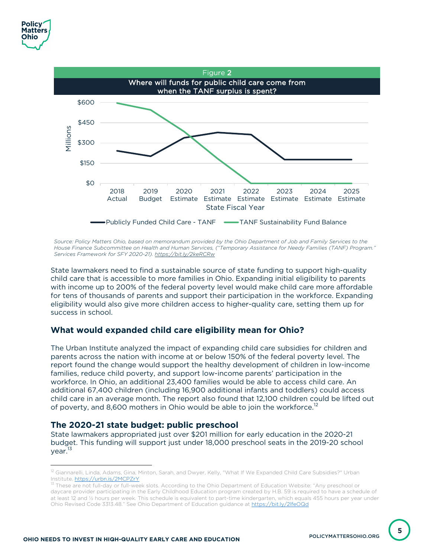

Source: Policy Matters Ohio, based on memorandum provided by the Ohio Department of Job and Family Services to the *House Finance Subcommittee on Health and Human Services, ("Temporary Assistance for Needy Families (TANF) Program." Services Framework for SFY 2020-21). https://bit.ly/2keRCRw*

State lawmakers need to find a sustainable source of state funding to support high-quality child care that is accessible to more families in Ohio. Expanding initial eligibility to parents with income up to 200% of the federal poverty level would make child care more affordable for tens of thousands of parents and support their participation in the workforce. Expanding eligibility would also give more children access to higher-quality care, setting them up for success in school.

## **What would expanded child care eligibility mean for Ohio?**

The Urban Institute analyzed the impact of expanding child care subsidies for children and parents across the nation with income at or below 150% of the federal poverty level. The report found the change would support the healthy development of children in low-income families, reduce child poverty, and support low-income parents' participation in the workforce. In Ohio, an additional 23,400 families would be able to access child care. An additional 67,400 children (including 16,900 additional infants and toddlers) could access child care in an average month. The report also found that 12,100 children could be lifted out of poverty, and 8,600 mothers in Ohio would be able to join the workforce.<sup>12</sup>

## **The 2020-21 state budget: public preschool**

State lawmakers appropriated just over \$201 million for early education in the 2020-21 budget. This funding will support just under 18,000 preschool seats in the 2019-20 school year.<sup>13</sup>

**5**

<sup>&</sup>lt;sup>12</sup> Giannarelli, Linda, Adams, Gina, Minton, Sarah, and Dwyer, Kelly, "What If We Expanded Child Care Subsidies?" Urban Institute. <u>https://urbn.is/2MCPZrY</u><br><sup>13</sup> These are not full-day or full-week slots. According to the Ohio Department of Education Website: "Any preschool or

daycare provider participating in the Early Childhood Education program created by H.B. 59 is required to have a schedule of at least 12 and ½ hours per week. This schedule is equivalent to part-time kindergarten, which equals 455 hours per year under Ohio Revised Code 3313.48." See Ohio Department of Education guidance at https://bit.ly/2lfeOQd